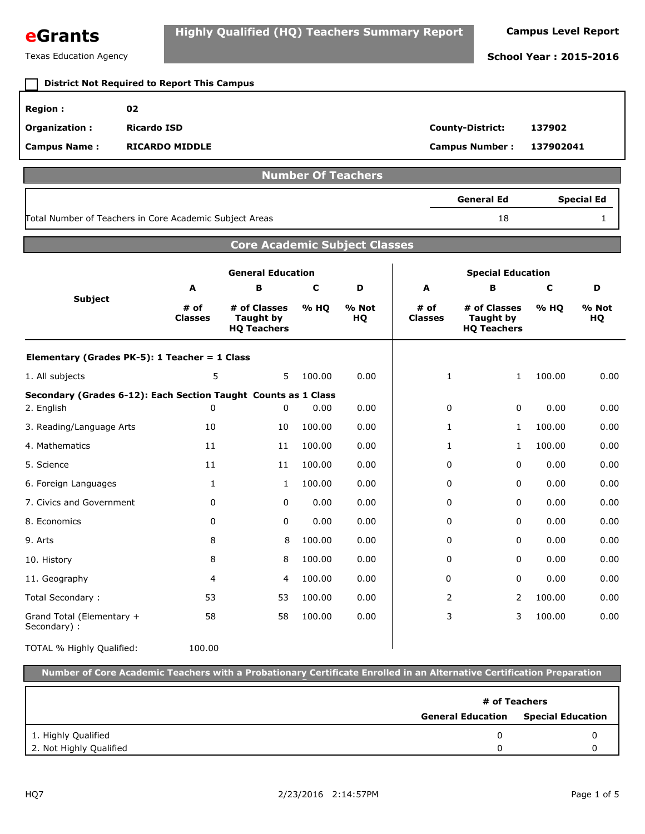| eGrants | Highly Qualified (HQ) Teachers Summary Report | <b>Campus Level Report</b> |
|---------|-----------------------------------------------|----------------------------|
|---------|-----------------------------------------------|----------------------------|

Texas Education Agency **School Year : 2015-2016**

#### **Region : 02 Organization : Ricardo ISD County-District: 137902 Campus Name : Campus Number : RICARDO MIDDLE 137902041 District Not Required to Report This Campus Number Of Teachers** 18 1 **General Ed Special Ed** Total Number of Teachers in Core Academic Subject Areas **Core Academic Subject Classes Subject General Education Special Education A # of Classes B # of Classes Taught by HQ Teachers C % HQ D % Not HQ A # of Classes B # of Classes Taught by HQ Teachers C % HQ D % Not HQ Elementary (Grades PK-5): 1 Teacher = 1 Class** 1. All subjects 100.00 100.00 100.00 100.00 100.00 0.000 100.00 **Secondary (Grades 6-12): Each Section Taught Counts as 1 Class** 2. English 0.00 0.00 0.00 0.00 3. Reading/Language Arts 100.00 0.00 100.00 0.00 4. Mathematics 100.00 0.00 100.00 0.00 5. Science 100.00 0.00 0.00 0.00 6. Foreign Languages **1** 100.00 0.00 0.00 0.00 0.00 0.00 7. Civics and Government  $\begin{array}{ccccccc} 0 & 0.00 & 0.00 & 0.00 & 0.00 & 0.00 & 0.00 \end{array}$ 8. Economics 0.00 0.00 0.00 0.00 9. Arts 8 8 100.00 0.00 0 0 0.00 0.00 10. History 8 8 100.00 0.00 0 0 0.00 0.00 11. Geography 100.00 0.00 0.00 0.00 Total Secondary : 100.00 100.00 100.00 100.00 100.00 100.00 100.00 100.00 Grand Total (Elementary + Secondary) : 100.00 0.00 3 3 100.00 0.00 TOTAL % Highly Qualified: 5 5 100.00 0.00 1 1 1  $0 \t 0 \t 0.00 \t 0.00 \t 0 \t 0 \t 0 \t 0$ 10 10 100.00 0.00 1 1 1 11 100.00 0.00 1 1 1 11 100.00 0.00 0 0 0 1 1 0 0  $0 \t 0 \t 0.00 \t 0.00 \t 0 \t 0 \t 0 \t 0$  $0 \t 0 \t 0.00 \t 0.00 \t 0 \t 0 \t 0 \t 0$ 8 8 100.00 0.00 0 0 0 0 8 8 100.00 0.00 0 0 0 0 4 4 100.00 0.00 0 0 0 0 53 53 100.00 0.00 2 2 2 58 58 100.00 0.00 | 3 3 100.00 **Number of Core Academic Teachers with a Probationary Certificate Enrolled in an Alternative Certification Preparation Program General Education Special Education # of Teachers**

1. Highly Qualified 0

2. Not Highly Qualified

 0 0

0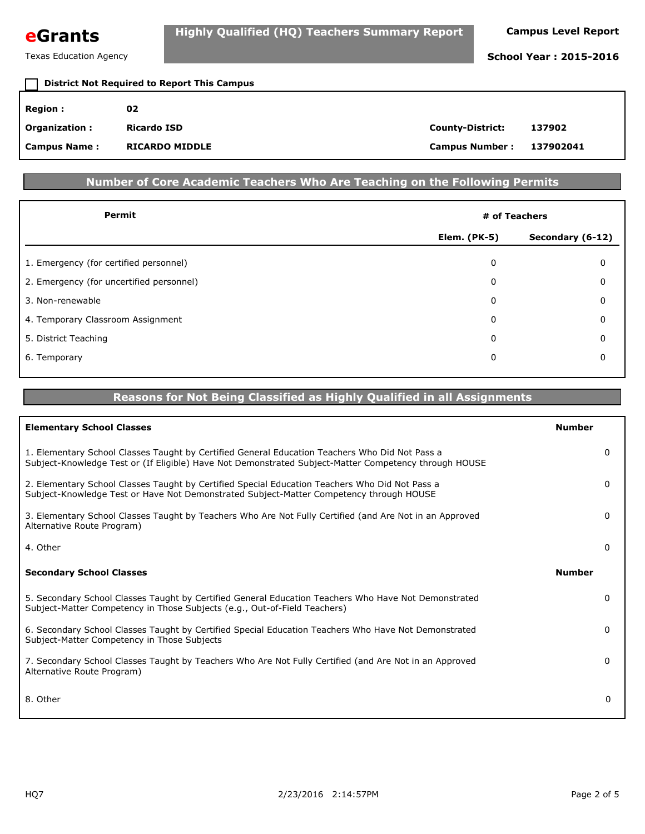

| <b>District Not Required to Report This Campus</b> |                       |                         |           |  |
|----------------------------------------------------|-----------------------|-------------------------|-----------|--|
| <b>Region :</b>                                    | 02                    |                         |           |  |
| Organization:                                      | Ricardo ISD           | <b>County-District:</b> | 137902    |  |
| <b>Campus Name:</b>                                | <b>RICARDO MIDDLE</b> | <b>Campus Number:</b>   | 137902041 |  |

### **Number of Core Academic Teachers Who Are Teaching on the Following Permits**

| Permit                                   | # of Teachers       |                  |  |
|------------------------------------------|---------------------|------------------|--|
|                                          | <b>Elem. (PK-5)</b> | Secondary (6-12) |  |
| 1. Emergency (for certified personnel)   | 0                   | 0                |  |
| 2. Emergency (for uncertified personnel) | 0                   | 0                |  |
| 3. Non-renewable                         | 0                   | 0                |  |
| 4. Temporary Classroom Assignment        | 0                   | 0                |  |
| 5. District Teaching                     | $\Omega$            | $\Omega$         |  |
| 6. Temporary                             | 0                   | 0                |  |
|                                          |                     |                  |  |

#### **Reasons for Not Being Classified as Highly Qualified in all Assignments**

| <b>Elementary School Classes</b>                                                                                                                                                                        | <b>Number</b> |
|---------------------------------------------------------------------------------------------------------------------------------------------------------------------------------------------------------|---------------|
| 1. Elementary School Classes Taught by Certified General Education Teachers Who Did Not Pass a<br>Subject-Knowledge Test or (If Eligible) Have Not Demonstrated Subject-Matter Competency through HOUSE | 0             |
| 2. Elementary School Classes Taught by Certified Special Education Teachers Who Did Not Pass a<br>Subject-Knowledge Test or Have Not Demonstrated Subject-Matter Competency through HOUSE               | 0             |
| 3. Elementary School Classes Taught by Teachers Who Are Not Fully Certified (and Are Not in an Approved<br>Alternative Route Program)                                                                   | 0             |
| 4. Other                                                                                                                                                                                                | 0             |
| <b>Secondary School Classes</b>                                                                                                                                                                         | <b>Number</b> |
| 5. Secondary School Classes Taught by Certified General Education Teachers Who Have Not Demonstrated<br>Subject-Matter Competency in Those Subjects (e.g., Out-of-Field Teachers)                       | 0             |
| 6. Secondary School Classes Taught by Certified Special Education Teachers Who Have Not Demonstrated<br>Subject-Matter Competency in Those Subjects                                                     | 0             |
| 7. Secondary School Classes Taught by Teachers Who Are Not Fully Certified (and Are Not in an Approved<br>Alternative Route Program)                                                                    | 0             |
| 8. Other                                                                                                                                                                                                | $\mathbf{0}$  |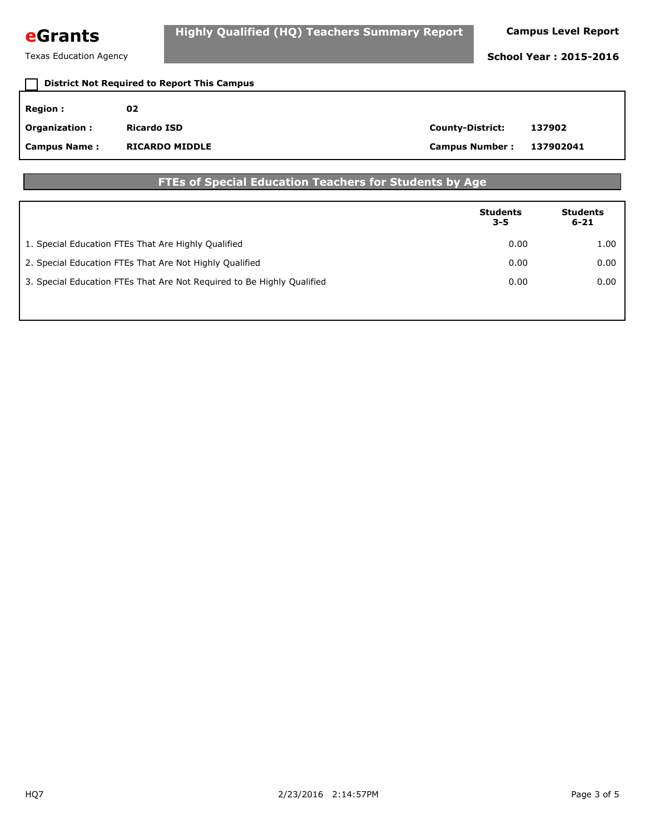

## **Region : 02 Organization : Ricardo ISD County-District: 137902 Campus Name : Campus Number : RICARDO MIDDLE 137902041 District Not Required to Report This Campus**

#### **FTEs of Special Education Teachers for Students by Age**

|                                                                        | <b>Students</b><br>$3 - 5$ | <b>Students</b><br>$6 - 21$ |
|------------------------------------------------------------------------|----------------------------|-----------------------------|
| 1. Special Education FTEs That Are Highly Qualified                    | 0.00                       | 1.00                        |
| 2. Special Education FTEs That Are Not Highly Qualified                | 0.00                       | 0.00                        |
| 3. Special Education FTEs That Are Not Required to Be Highly Qualified | 0.00                       | 0.00                        |
|                                                                        |                            |                             |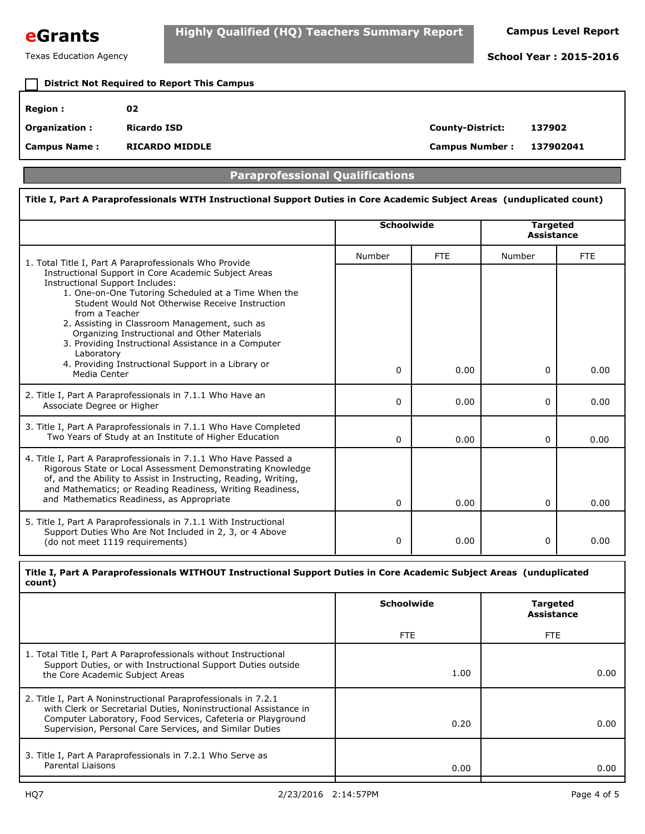

# **District Not Required to Report This Campus**

| Region :             | 02                    |                         |           |
|----------------------|-----------------------|-------------------------|-----------|
| <b>Organization:</b> | <b>Ricardo ISD</b>    | <b>County-District:</b> | 137902    |
| <b>Campus Name:</b>  | <b>RICARDO MIDDLE</b> | <b>Campus Number:</b>   | 137902041 |

#### **Paraprofessional Qualifications**

#### **Title I, Part A Paraprofessionals WITH Instructional Support Duties in Core Academic Subject Areas (unduplicated count) Schoolwide Targeted Assistance** 1. Total Title I, Part A Paraprofessionals Who Provide **1. Community Contract Provide** Report A Paraprofessionals Who Provide Instructional Support in Core Academic Subject Areas Instructional Support Includes: 1. One-on-One Tutoring Scheduled at a Time When the Student Would Not Otherwise Receive Instruction from a Teacher 2. Assisting in Classroom Management, such as Organizing Instructional and Other Materials 3. Providing Instructional Assistance in a Computer Laboratory 4. Providing Instructional Support in a Library or Media Center 2. Title I, Part A Paraprofessionals in 7.1.1 Who Have an Associate Degree or Higher 3. Title I, Part A Paraprofessionals in 7.1.1 Who Have Completed Two Years of Study at an Institute of Higher Education 4. Title I, Part A Paraprofessionals in 7.1.1 Who Have Passed a Rigorous State or Local Assessment Demonstrating Knowledge of, and the Ability to Assist in Instructing, Reading, Writing, and Mathematics; or Reading Readiness, Writing Readiness, and Mathematics Readiness, as Appropriate 5. Title I, Part A Paraprofessionals in 7.1.1 With Instructional Support Duties Who Are Not Included in 2, 3, or 4 Above (do not meet 1119 requirements) FTE FTE **Targeted Assistance Schoolwide Title I, Part A Paraprofessionals WITHOUT Instructional Support Duties in Core Academic Subject Areas (unduplicated count)**  $0 | 0.00 | 0 | 0.00$  $0 | 0.00 | 0 | 0.00$  $0 | 0.00 | 0 | 0.00$  $0 | 0.00 | 0 | 0.00$  $0 | 0.00 | 0 | 0.00$

| 1. Total Title I, Part A Paraprofessionals without Instructional<br>Support Duties, or with Instructional Support Duties outside<br>the Core Academic Subject Areas                                                                                          | 1.00 | 0.00 |
|--------------------------------------------------------------------------------------------------------------------------------------------------------------------------------------------------------------------------------------------------------------|------|------|
| 2. Title I, Part A Noninstructional Paraprofessionals in 7.2.1<br>with Clerk or Secretarial Duties, Noninstructional Assistance in<br>Computer Laboratory, Food Services, Cafeteria or Playground<br>Supervision, Personal Care Services, and Similar Duties | 0.20 | 0.00 |
| 3. Title I, Part A Paraprofessionals in 7.2.1 Who Serve as<br>Parental Liaisons                                                                                                                                                                              | 0.00 | 0.00 |